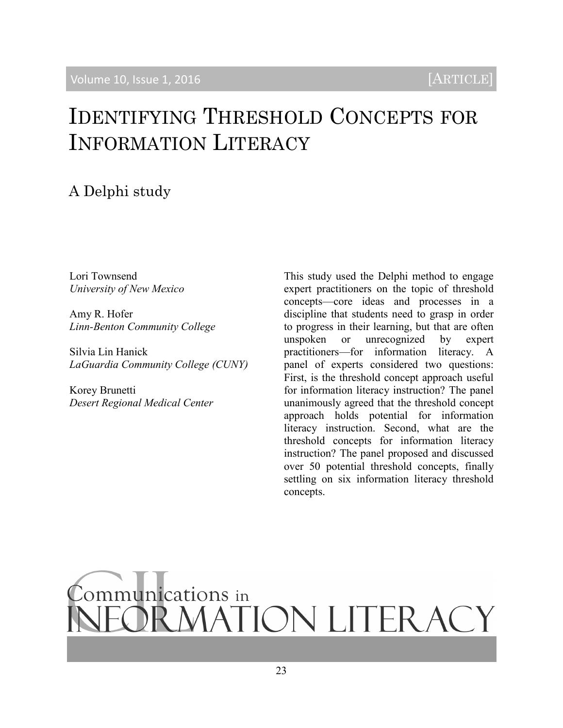# IDENTIFYING THRESHOLD CONCEPTS FOR INFORMATION LITERACY

# A Delphi study

Lori Townsend *University of New Mexico*

Amy R. Hofer *Linn-Benton Community College*

Silvia Lin Hanick *LaGuardia Community College (CUNY)*

Korey Brunetti *Desert Regional Medical Center*  This study used the Delphi method to engage expert practitioners on the topic of threshold concepts—core ideas and processes in a discipline that students need to grasp in order to progress in their learning, but that are often unspoken or unrecognized by expert practitioners—for information literacy. A panel of experts considered two questions: First, is the threshold concept approach useful for information literacy instruction? The panel unanimously agreed that the threshold concept approach holds potential for information literacy instruction. Second, what are the threshold concepts for information literacy instruction? The panel proposed and discussed over 50 potential threshold concepts, finally settling on six information literacy threshold concepts.

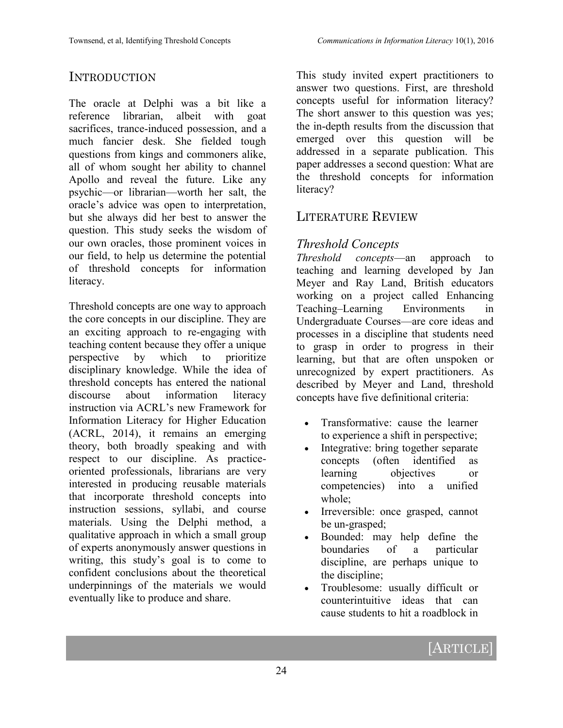## **INTRODUCTION**

The oracle at Delphi was a bit like a reference librarian, albeit with goat sacrifices, trance-induced possession, and a much fancier desk. She fielded tough questions from kings and commoners alike, all of whom sought her ability to channel Apollo and reveal the future. Like any psychic—or librarian—worth her salt, the oracle's advice was open to interpretation, but she always did her best to answer the question. This study seeks the wisdom of our own oracles, those prominent voices in our field, to help us determine the potential of threshold concepts for information literacy.

Threshold concepts are one way to approach the core concepts in our discipline. They are an exciting approach to re-engaging with teaching content because they offer a unique perspective by which to prioritize disciplinary knowledge. While the idea of threshold concepts has entered the national discourse about information literacy instruction via ACRL's new Framework for Information Literacy for Higher Education (ACRL, 2014), it remains an emerging theory, both broadly speaking and with respect to our discipline. As practiceoriented professionals, librarians are very interested in producing reusable materials that incorporate threshold concepts into instruction sessions, syllabi, and course materials. Using the Delphi method, a qualitative approach in which a small group of experts anonymously answer questions in writing, this study's goal is to come to confident conclusions about the theoretical underpinnings of the materials we would eventually like to produce and share.

This study invited expert practitioners to answer two questions. First, are threshold concepts useful for information literacy? The short answer to this question was yes; the in-depth results from the discussion that emerged over this question will be addressed in a separate publication. This paper addresses a second question: What are the threshold concepts for information literacy?

# LITERATURE REVIEW

#### *Threshold Concepts*

*Threshold concepts*—an approach to teaching and learning developed by Jan Meyer and Ray Land, British educators working on a project called Enhancing Teaching–Learning Environments in Undergraduate Courses—are core ideas and processes in a discipline that students need to grasp in order to progress in their learning, but that are often unspoken or unrecognized by expert practitioners. As described by Meyer and Land, threshold concepts have five definitional criteria:

- Transformative: cause the learner to experience a shift in perspective;
- Integrative: bring together separate concepts (often identified as learning objectives or competencies) into a unified whole;
- Irreversible: once grasped, cannot be un-grasped;
- Bounded: may help define the boundaries of a particular discipline, are perhaps unique to the discipline;
- Troublesome: usually difficult or counterintuitive ideas that can cause students to hit a roadblock in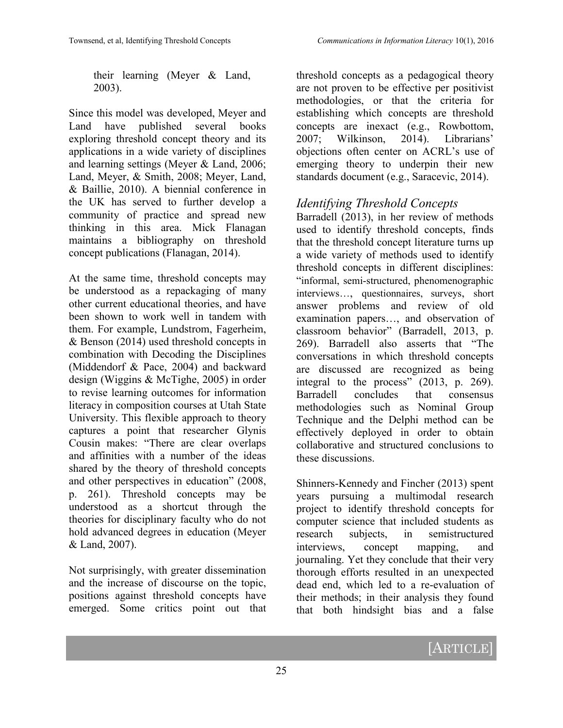their learning (Meyer & Land, 2003).

Since this model was developed, Meyer and Land have published several books exploring threshold concept theory and its applications in a wide variety of disciplines and learning settings (Meyer & Land, 2006; Land, Meyer, & Smith, 2008; Meyer, Land, & Baillie, 2010). A biennial conference in the UK has served to further develop a community of practice and spread new thinking in this area. Mick Flanagan maintains a bibliography on threshold concept publications (Flanagan, 2014).

At the same time, threshold concepts may be understood as a repackaging of many other current educational theories, and have been shown to work well in tandem with them. For example, Lundstrom, Fagerheim, & Benson (2014) used threshold concepts in combination with Decoding the Disciplines (Middendorf & Pace, 2004) and backward design (Wiggins & McTighe, 2005) in order to revise learning outcomes for information literacy in composition courses at Utah State University. This flexible approach to theory captures a point that researcher Glynis Cousin makes: "There are clear overlaps and affinities with a number of the ideas shared by the theory of threshold concepts and other perspectives in education" (2008, p. 261). Threshold concepts may be understood as a shortcut through the theories for disciplinary faculty who do not hold advanced degrees in education (Meyer & Land, 2007).

Not surprisingly, with greater dissemination and the increase of discourse on the topic, positions against threshold concepts have emerged. Some critics point out that

threshold concepts as a pedagogical theory are not proven to be effective per positivist methodologies, or that the criteria for establishing which concepts are threshold concepts are inexact (e.g., Rowbottom, 2007; Wilkinson, 2014). Librarians' objections often center on ACRL's use of emerging theory to underpin their new standards document (e.g., Saracevic, 2014).

#### *Identifying Threshold Concepts*

Barradell (2013), in her review of methods used to identify threshold concepts, finds that the threshold concept literature turns up a wide variety of methods used to identify threshold concepts in different disciplines: "informal, semi-structured, phenomenographic interviews…, questionnaires, surveys, short answer problems and review of old examination papers…, and observation of classroom behavior" (Barradell, 2013, p. 269). Barradell also asserts that "The conversations in which threshold concepts are discussed are recognized as being integral to the process" (2013, p. 269). Barradell concludes that consensus methodologies such as Nominal Group Technique and the Delphi method can be effectively deployed in order to obtain collaborative and structured conclusions to these discussions.

Shinners-Kennedy and Fincher (2013) spent years pursuing a multimodal research project to identify threshold concepts for computer science that included students as research subjects, in semistructured interviews, concept mapping, and journaling. Yet they conclude that their very thorough efforts resulted in an unexpected dead end, which led to a re-evaluation of their methods; in their analysis they found that both hindsight bias and a false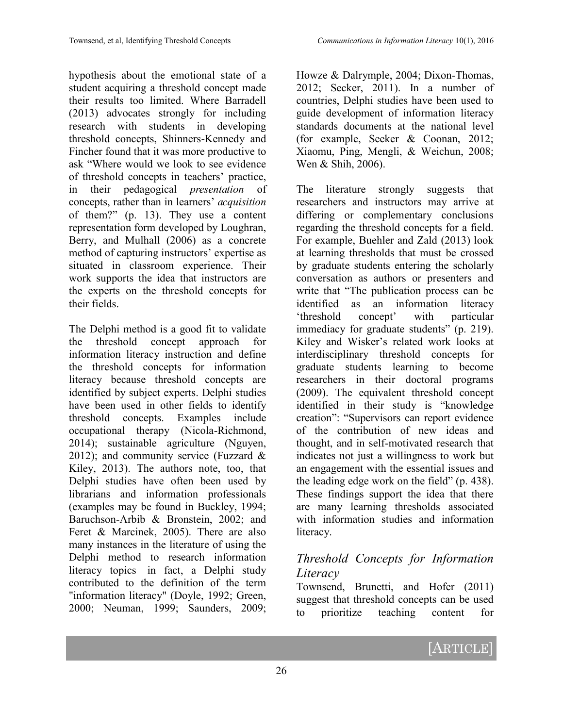hypothesis about the emotional state of a student acquiring a threshold concept made their results too limited. Where Barradell (2013) advocates strongly for including research with students in developing threshold concepts, Shinners-Kennedy and Fincher found that it was more productive to ask "Where would we look to see evidence of threshold concepts in teachers' practice, in their pedagogical *presentation* of concepts, rather than in learners' *acquisition* of them?" (p. 13). They use a content representation form developed by Loughran, Berry, and Mulhall (2006) as a concrete method of capturing instructors' expertise as situated in classroom experience. Their work supports the idea that instructors are the experts on the threshold concepts for their fields.

The Delphi method is a good fit to validate the threshold concept approach for information literacy instruction and define the threshold concepts for information literacy because threshold concepts are identified by subject experts. Delphi studies have been used in other fields to identify threshold concepts. Examples include occupational therapy (Nicola-Richmond, 2014); sustainable agriculture (Nguyen, 2012); and community service (Fuzzard  $\&$ Kiley, 2013). The authors note, too, that Delphi studies have often been used by librarians and information professionals (examples may be found in Buckley, 1994; Baruchson-Arbib & Bronstein, 2002; and Feret & Marcinek, 2005). There are also many instances in the literature of using the Delphi method to research information literacy topics—in fact, a Delphi study contributed to the definition of the term "information literacy" (Doyle, 1992; Green, 2000; Neuman, 1999; Saunders, 2009;

Howze & Dalrymple, 2004; Dixon-Thomas, 2012; Secker, 2011). In a number of countries, Delphi studies have been used to guide development of information literacy standards documents at the national level (for example, Seeker & Coonan, 2012; Xiaomu, Ping, Mengli, & Weichun, 2008; Wen & Shih, 2006).

The literature strongly suggests that researchers and instructors may arrive at differing or complementary conclusions regarding the threshold concepts for a field. For example, Buehler and Zald (2013) look at learning thresholds that must be crossed by graduate students entering the scholarly conversation as authors or presenters and write that "The publication process can be identified as an information literacy 'threshold concept' with particular immediacy for graduate students" (p. 219). Kiley and Wisker's related work looks at interdisciplinary threshold concepts for graduate students learning to become researchers in their doctoral programs (2009). The equivalent threshold concept identified in their study is "knowledge creation": "Supervisors can report evidence of the contribution of new ideas and thought, and in self-motivated research that indicates not just a willingness to work but an engagement with the essential issues and the leading edge work on the field" (p. 438). These findings support the idea that there are many learning thresholds associated with information studies and information literacy.

# *Threshold Concepts for Information Literacy*

Townsend, Brunetti, and Hofer (2011) suggest that threshold concepts can be used to prioritize teaching content for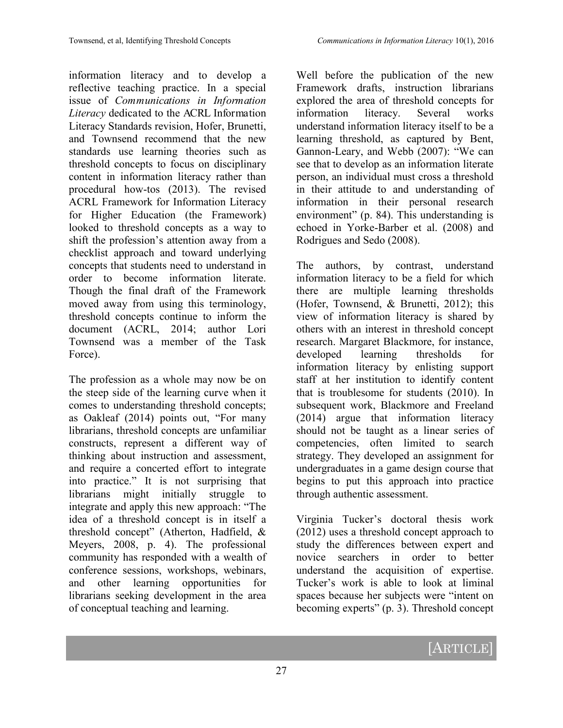information literacy and to develop a reflective teaching practice. In a special issue of *Communications in Information Literacy* dedicated to the ACRL Information Literacy Standards revision, Hofer, Brunetti, and Townsend recommend that the new standards use learning theories such as threshold concepts to focus on disciplinary content in information literacy rather than procedural how-tos (2013). The revised ACRL Framework for Information Literacy for Higher Education (the Framework) looked to threshold concepts as a way to shift the profession's attention away from a checklist approach and toward underlying concepts that students need to understand in order to become information literate. Though the final draft of the Framework moved away from using this terminology, threshold concepts continue to inform the document (ACRL, 2014; author Lori Townsend was a member of the Task Force).

The profession as a whole may now be on the steep side of the learning curve when it comes to understanding threshold concepts; as Oakleaf (2014) points out, "For many librarians, threshold concepts are unfamiliar constructs, represent a different way of thinking about instruction and assessment, and require a concerted effort to integrate into practice." It is not surprising that librarians might initially struggle to integrate and apply this new approach: "The idea of a threshold concept is in itself a threshold concept" (Atherton, Hadfield, & Meyers, 2008, p. 4). The professional community has responded with a wealth of conference sessions, workshops, webinars, and other learning opportunities for librarians seeking development in the area of conceptual teaching and learning.

Well before the publication of the new Framework drafts, instruction librarians explored the area of threshold concepts for information literacy. Several works understand information literacy itself to be a learning threshold, as captured by Bent, Gannon-Leary, and Webb (2007): "We can see that to develop as an information literate person, an individual must cross a threshold in their attitude to and understanding of information in their personal research environment" (p. 84). This understanding is echoed in Yorke-Barber et al. (2008) and Rodrigues and Sedo (2008).

The authors, by contrast, understand information literacy to be a field for which there are multiple learning thresholds (Hofer, Townsend, & Brunetti, 2012); this view of information literacy is shared by others with an interest in threshold concept research. Margaret Blackmore, for instance, developed learning thresholds for information literacy by enlisting support staff at her institution to identify content that is troublesome for students (2010). In subsequent work, Blackmore and Freeland (2014) argue that information literacy should not be taught as a linear series of competencies, often limited to search strategy. They developed an assignment for undergraduates in a game design course that begins to put this approach into practice through authentic assessment.

Virginia Tucker's doctoral thesis work (2012) uses a threshold concept approach to study the differences between expert and novice searchers in order to better understand the acquisition of expertise. Tucker's work is able to look at liminal spaces because her subjects were "intent on becoming experts" (p. 3). Threshold concept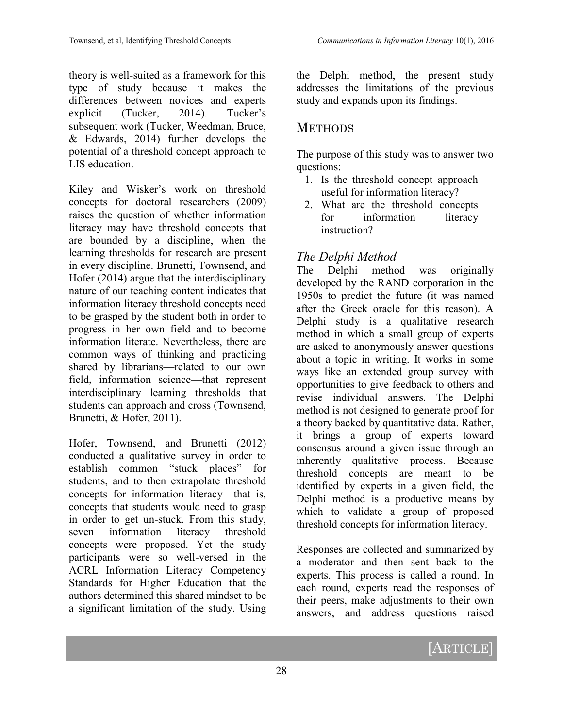theory is well-suited as a framework for this type of study because it makes the differences between novices and experts explicit (Tucker, 2014). Tucker's subsequent work (Tucker, Weedman, Bruce, & Edwards, 2014) further develops the potential of a threshold concept approach to LIS education.

Kiley and Wisker's work on threshold concepts for doctoral researchers (2009) raises the question of whether information literacy may have threshold concepts that are bounded by a discipline, when the learning thresholds for research are present in every discipline. Brunetti, Townsend, and Hofer (2014) argue that the interdisciplinary nature of our teaching content indicates that information literacy threshold concepts need to be grasped by the student both in order to progress in her own field and to become information literate. Nevertheless, there are common ways of thinking and practicing shared by librarians—related to our own field, information science—that represent interdisciplinary learning thresholds that students can approach and cross (Townsend, Brunetti, & Hofer, 2011).

Hofer, Townsend, and Brunetti (2012) conducted a qualitative survey in order to establish common "stuck places" for students, and to then extrapolate threshold concepts for information literacy—that is, concepts that students would need to grasp in order to get un-stuck. From this study, seven information literacy threshold concepts were proposed. Yet the study participants were so well-versed in the ACRL Information Literacy Competency Standards for Higher Education that the authors determined this shared mindset to be a significant limitation of the study. Using

the Delphi method, the present study addresses the limitations of the previous study and expands upon its findings.

# **METHODS**

The purpose of this study was to answer two questions:

- 1. Is the threshold concept approach useful for information literacy?
- 2. What are the threshold concepts for information literacy instruction?

# *The Delphi Method*

The Delphi method was originally developed by the RAND corporation in the 1950s to predict the future (it was named after the Greek oracle for this reason). A Delphi study is a qualitative research method in which a small group of experts are asked to anonymously answer questions about a topic in writing. It works in some ways like an extended group survey with opportunities to give feedback to others and revise individual answers. The Delphi method is not designed to generate proof for a theory backed by quantitative data. Rather, it brings a group of experts toward consensus around a given issue through an inherently qualitative process. Because threshold concepts are meant to be identified by experts in a given field, the Delphi method is a productive means by which to validate a group of proposed threshold concepts for information literacy.

Responses are collected and summarized by a moderator and then sent back to the experts. This process is called a round. In each round, experts read the responses of their peers, make adjustments to their own answers, and address questions raised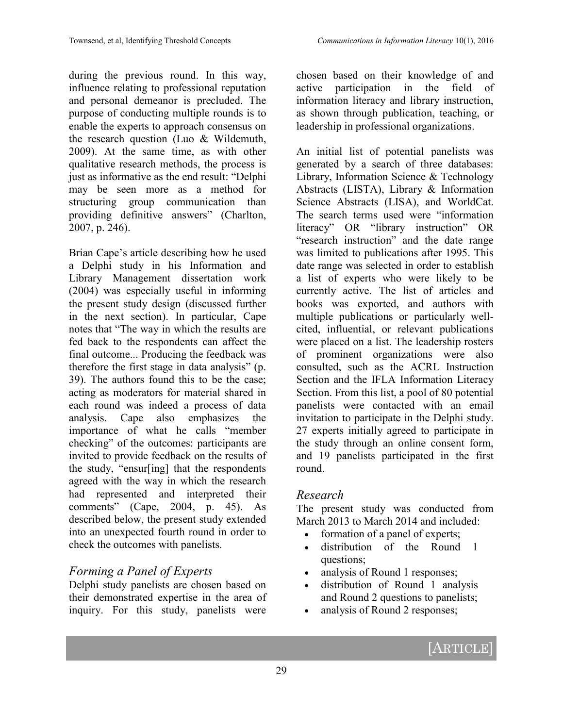during the previous round. In this way, influence relating to professional reputation and personal demeanor is precluded. The purpose of conducting multiple rounds is to enable the experts to approach consensus on the research question (Luo & Wildemuth, 2009). At the same time, as with other qualitative research methods, the process is just as informative as the end result: "Delphi may be seen more as a method for structuring group communication than providing definitive answers" (Charlton, 2007, p. 246).

Brian Cape's article describing how he used a Delphi study in his Information and Library Management dissertation work (2004) was especially useful in informing the present study design (discussed further in the next section). In particular, Cape notes that "The way in which the results are fed back to the respondents can affect the final outcome... Producing the feedback was therefore the first stage in data analysis" (p. 39). The authors found this to be the case; acting as moderators for material shared in each round was indeed a process of data analysis. Cape also emphasizes the importance of what he calls "member checking" of the outcomes: participants are invited to provide feedback on the results of the study, "ensur[ing] that the respondents agreed with the way in which the research had represented and interpreted their comments" (Cape, 2004, p. 45). As described below, the present study extended into an unexpected fourth round in order to check the outcomes with panelists.

# *Forming a Panel of Experts*

Delphi study panelists are chosen based on their demonstrated expertise in the area of inquiry. For this study, panelists were

chosen based on their knowledge of and active participation in the field of information literacy and library instruction, as shown through publication, teaching, or leadership in professional organizations.

An initial list of potential panelists was generated by a search of three databases: Library, Information Science & Technology Abstracts (LISTA), Library & Information Science Abstracts (LISA), and WorldCat. The search terms used were "information literacy" OR "library instruction" OR "research instruction" and the date range was limited to publications after 1995. This date range was selected in order to establish a list of experts who were likely to be currently active. The list of articles and books was exported, and authors with multiple publications or particularly wellcited, influential, or relevant publications were placed on a list. The leadership rosters of prominent organizations were also consulted, such as the ACRL Instruction Section and the IFLA Information Literacy Section. From this list, a pool of 80 potential panelists were contacted with an email invitation to participate in the Delphi study. 27 experts initially agreed to participate in the study through an online consent form, and 19 panelists participated in the first round.

#### *Research*

The present study was conducted from March 2013 to March 2014 and included:

- formation of a panel of experts;
- distribution of the Round 1 questions;
- analysis of Round 1 responses;
- distribution of Round 1 analysis and Round 2 questions to panelists;
- analysis of Round 2 responses;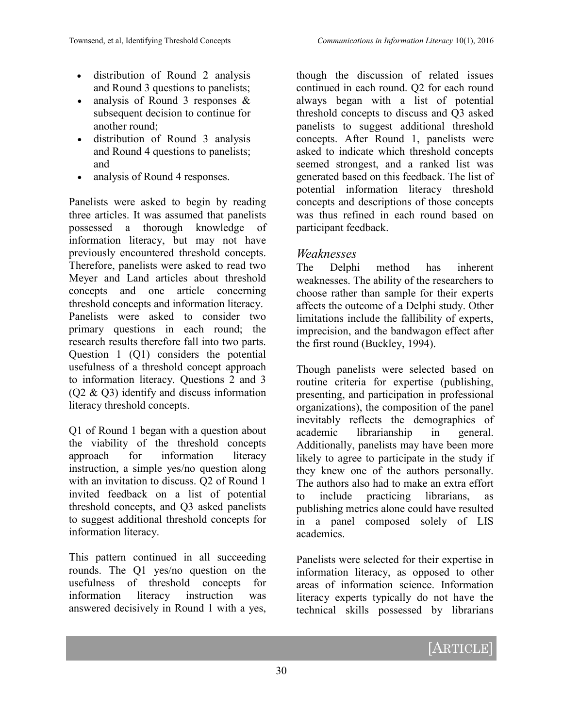- distribution of Round 2 analysis and Round 3 questions to panelists;
- analysis of Round 3 responses & subsequent decision to continue for another round;
- distribution of Round 3 analysis and Round 4 questions to panelists; and
- analysis of Round 4 responses.

Panelists were asked to begin by reading three articles. It was assumed that panelists possessed a thorough knowledge of information literacy, but may not have previously encountered threshold concepts. Therefore, panelists were asked to read two Meyer and Land articles about threshold concepts and one article concerning threshold concepts and information literacy. Panelists were asked to consider two primary questions in each round; the research results therefore fall into two parts. Question 1 (Q1) considers the potential usefulness of a threshold concept approach to information literacy. Questions 2 and 3 (Q2 & Q3) identify and discuss information literacy threshold concepts.

Q1 of Round 1 began with a question about the viability of the threshold concepts approach for information literacy instruction, a simple yes/no question along with an invitation to discuss. Q2 of Round 1 invited feedback on a list of potential threshold concepts, and Q3 asked panelists to suggest additional threshold concepts for information literacy.

This pattern continued in all succeeding rounds. The Q1 yes/no question on the usefulness of threshold concepts for information literacy instruction was answered decisively in Round 1 with a yes,

though the discussion of related issues continued in each round. Q2 for each round always began with a list of potential threshold concepts to discuss and Q3 asked panelists to suggest additional threshold concepts. After Round 1, panelists were asked to indicate which threshold concepts seemed strongest, and a ranked list was generated based on this feedback. The list of potential information literacy threshold concepts and descriptions of those concepts was thus refined in each round based on participant feedback.

#### *Weaknesses*

The Delphi method has inherent weaknesses. The ability of the researchers to choose rather than sample for their experts affects the outcome of a Delphi study. Other limitations include the fallibility of experts, imprecision, and the bandwagon effect after the first round (Buckley, 1994).

Though panelists were selected based on routine criteria for expertise (publishing, presenting, and participation in professional organizations), the composition of the panel inevitably reflects the demographics of academic librarianship in general. Additionally, panelists may have been more likely to agree to participate in the study if they knew one of the authors personally. The authors also had to make an extra effort to include practicing librarians, as publishing metrics alone could have resulted in a panel composed solely of LIS academics.

Panelists were selected for their expertise in information literacy, as opposed to other areas of information science. Information literacy experts typically do not have the technical skills possessed by librarians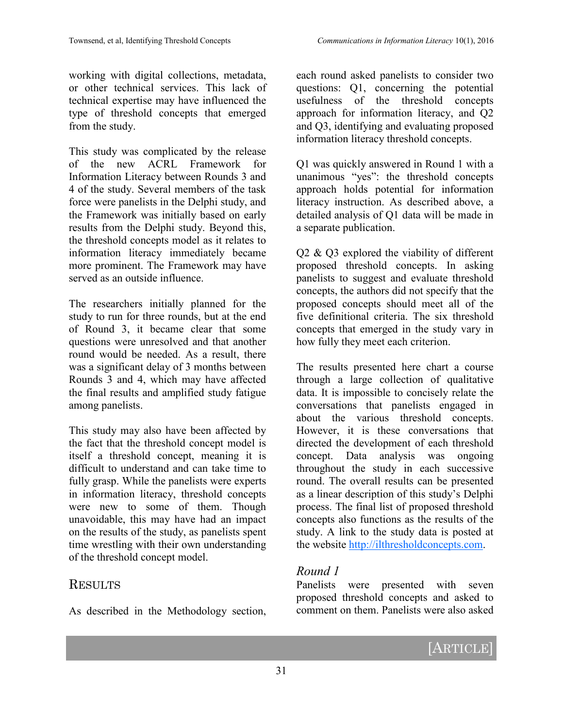working with digital collections, metadata, or other technical services. This lack of technical expertise may have influenced the type of threshold concepts that emerged from the study.

This study was complicated by the release of the new ACRL Framework for Information Literacy between Rounds 3 and 4 of the study. Several members of the task force were panelists in the Delphi study, and the Framework was initially based on early results from the Delphi study. Beyond this, the threshold concepts model as it relates to information literacy immediately became more prominent. The Framework may have served as an outside influence.

The researchers initially planned for the study to run for three rounds, but at the end of Round 3, it became clear that some questions were unresolved and that another round would be needed. As a result, there was a significant delay of 3 months between Rounds 3 and 4, which may have affected the final results and amplified study fatigue among panelists.

This study may also have been affected by the fact that the threshold concept model is itself a threshold concept, meaning it is difficult to understand and can take time to fully grasp. While the panelists were experts in information literacy, threshold concepts were new to some of them. Though unavoidable, this may have had an impact on the results of the study, as panelists spent time wrestling with their own understanding of the threshold concept model.

# **RESULTS**

As described in the Methodology section,

each round asked panelists to consider two questions: Q1, concerning the potential usefulness of the threshold concepts approach for information literacy, and Q2 and Q3, identifying and evaluating proposed information literacy threshold concepts.

Q1 was quickly answered in Round 1 with a unanimous "yes": the threshold concepts approach holds potential for information literacy instruction. As described above, a detailed analysis of Q1 data will be made in a separate publication.

Q2 & Q3 explored the viability of different proposed threshold concepts. In asking panelists to suggest and evaluate threshold concepts, the authors did not specify that the proposed concepts should meet all of the five definitional criteria. The six threshold concepts that emerged in the study vary in how fully they meet each criterion.

The results presented here chart a course through a large collection of qualitative data. It is impossible to concisely relate the conversations that panelists engaged in about the various threshold concepts. However, it is these conversations that directed the development of each threshold concept. Data analysis was ongoing throughout the study in each successive round. The overall results can be presented as a linear description of this study's Delphi process. The final list of proposed threshold concepts also functions as the results of the study. A link to the study data is posted at the website [http://ilthresholdconcepts.com.](http://ilthresholdconcepts.com)

# *Round 1*

Panelists were presented with seven proposed threshold concepts and asked to comment on them. Panelists were also asked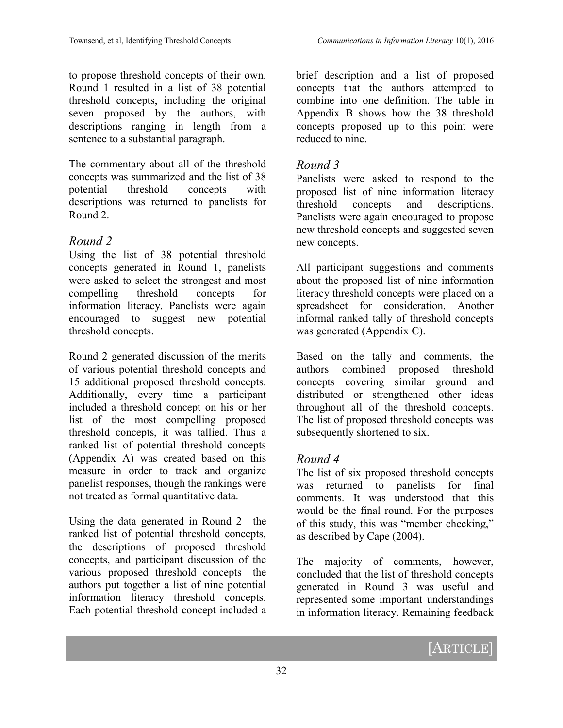to propose threshold concepts of their own. Round 1 resulted in a list of 38 potential threshold concepts, including the original seven proposed by the authors, with descriptions ranging in length from a sentence to a substantial paragraph.

The commentary about all of the threshold concepts was summarized and the list of 38 potential threshold concepts with descriptions was returned to panelists for Round 2.

#### *Round 2*

Using the list of 38 potential threshold concepts generated in Round 1, panelists were asked to select the strongest and most compelling threshold concepts for information literacy. Panelists were again encouraged to suggest new potential threshold concepts.

Round 2 generated discussion of the merits of various potential threshold concepts and 15 additional proposed threshold concepts. Additionally, every time a participant included a threshold concept on his or her list of the most compelling proposed threshold concepts, it was tallied. Thus a ranked list of potential threshold concepts (Appendix A) was created based on this measure in order to track and organize panelist responses, though the rankings were not treated as formal quantitative data.

Using the data generated in Round 2—the ranked list of potential threshold concepts, the descriptions of proposed threshold concepts, and participant discussion of the various proposed threshold concepts—the authors put together a list of nine potential information literacy threshold concepts. Each potential threshold concept included a

brief description and a list of proposed concepts that the authors attempted to combine into one definition. The table in Appendix B shows how the 38 threshold concepts proposed up to this point were reduced to nine.

#### *Round 3*

Panelists were asked to respond to the proposed list of nine information literacy threshold concepts and descriptions. Panelists were again encouraged to propose new threshold concepts and suggested seven new concepts.

All participant suggestions and comments about the proposed list of nine information literacy threshold concepts were placed on a spreadsheet for consideration. Another informal ranked tally of threshold concepts was generated (Appendix C).

Based on the tally and comments, the authors combined proposed threshold concepts covering similar ground and distributed or strengthened other ideas throughout all of the threshold concepts. The list of proposed threshold concepts was subsequently shortened to six.

#### *Round 4*

The list of six proposed threshold concepts was returned to panelists for final comments. It was understood that this would be the final round. For the purposes of this study, this was "member checking," as described by Cape (2004).

The majority of comments, however, concluded that the list of threshold concepts generated in Round 3 was useful and represented some important understandings in information literacy. Remaining feedback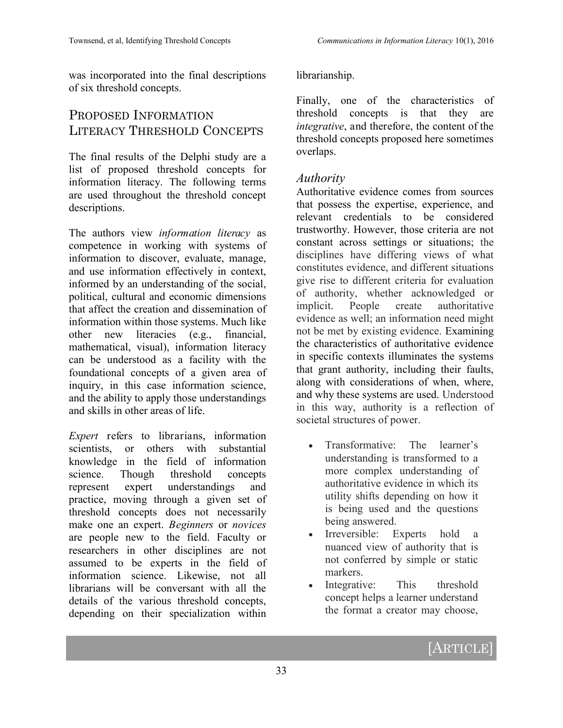was incorporated into the final descriptions of six threshold concepts.

# PROPOSED INFORMATION LITERACY THRESHOLD CONCEPTS

The final results of the Delphi study are a list of proposed threshold concepts for information literacy. The following terms are used throughout the threshold concept descriptions.

The authors view *information literacy* as competence in working with systems of information to discover, evaluate, manage, and use information effectively in context, informed by an understanding of the social, political, cultural and economic dimensions that affect the creation and dissemination of information within those systems. Much like other new literacies (e.g., financial, mathematical, visual), information literacy can be understood as a facility with the foundational concepts of a given area of inquiry, in this case information science, and the ability to apply those understandings and skills in other areas of life.

*Expert* refers to librarians, information scientists, or others with substantial knowledge in the field of information science. Though threshold concepts represent expert understandings and practice, moving through a given set of threshold concepts does not necessarily make one an expert. *Beginners* or *novices* are people new to the field. Faculty or researchers in other disciplines are not assumed to be experts in the field of information science. Likewise, not all librarians will be conversant with all the details of the various threshold concepts, depending on their specialization within librarianship.

Finally, one of the characteristics of threshold concepts is that they are *integrative*, and therefore, the content of the threshold concepts proposed here sometimes overlaps.

#### *Authority*

Authoritative evidence comes from sources that possess the expertise, experience, and relevant credentials to be considered trustworthy. However, those criteria are not constant across settings or situations; the disciplines have differing views of what constitutes evidence, and different situations give rise to different criteria for evaluation of authority, whether acknowledged or implicit. People create authoritative evidence as well; an information need might not be met by existing evidence. Examining the characteristics of authoritative evidence in specific contexts illuminates the systems that grant authority, including their faults, along with considerations of when, where, and why these systems are used. Understood in this way, authority is a reflection of societal structures of power.

- Transformative: The learner's understanding is transformed to a more complex understanding of authoritative evidence in which its utility shifts depending on how it is being used and the questions being answered.
- Irreversible: Experts hold a nuanced view of authority that is not conferred by simple or static markers.
- Integrative: This threshold concept helps a learner understand the format a creator may choose,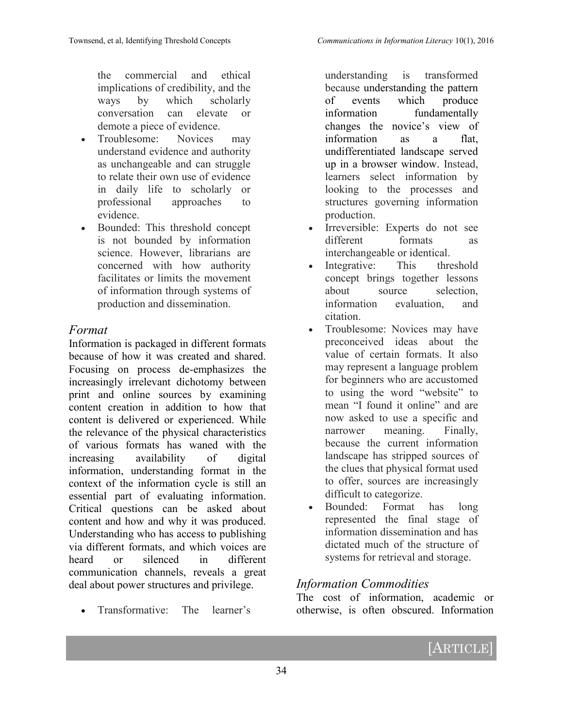the commercial and ethical implications of credibility, and the ways by which scholarly conversation can elevate or demote a piece of evidence.

- Troublesome: Novices may understand evidence and authority as unchangeable and can struggle to relate their own use of evidence in daily life to scholarly or professional approaches to evidence.
- Bounded: This threshold concept is not bounded by information science. However, librarians are concerned with how authority facilitates or limits the movement of information through systems of production and dissemination.

#### *Format*

Information is packaged in different formats because of how it was created and shared. Focusing on process de-emphasizes the increasingly irrelevant dichotomy between print and online sources by examining content creation in addition to how that content is delivered or experienced. While the relevance of the physical characteristics of various formats has waned with the increasing availability of digital information, understanding format in the context of the information cycle is still an essential part of evaluating information. Critical questions can be asked about content and how and why it was produced. Understanding who has access to publishing via different formats, and which voices are heard or silenced in different communication channels, reveals a great deal about power structures and privilege.

Transformative: The learner's

understanding is transformed because understanding the pattern of events which produce information fundamentally changes the novice's view of information as a flat undifferentiated landscape served up in a browser window. Instead, learners select information by looking to the processes and structures governing information production.

- Irreversible: Experts do not see different formats as interchangeable or identical.
- Integrative: This threshold concept brings together lessons about source selection, information evaluation, and citation.
- Troublesome: Novices may have preconceived ideas about the value of certain formats. It also may represent a language problem for beginners who are accustomed to using the word "website" to mean "I found it online" and are now asked to use a specific and narrower meaning. Finally, because the current information landscape has stripped sources of the clues that physical format used to offer, sources are increasingly difficult to categorize.
- Bounded: Format has long represented the final stage of information dissemination and has dictated much of the structure of systems for retrieval and storage.

#### *Information Commodities*

The cost of information, academic or otherwise, is often obscured. Information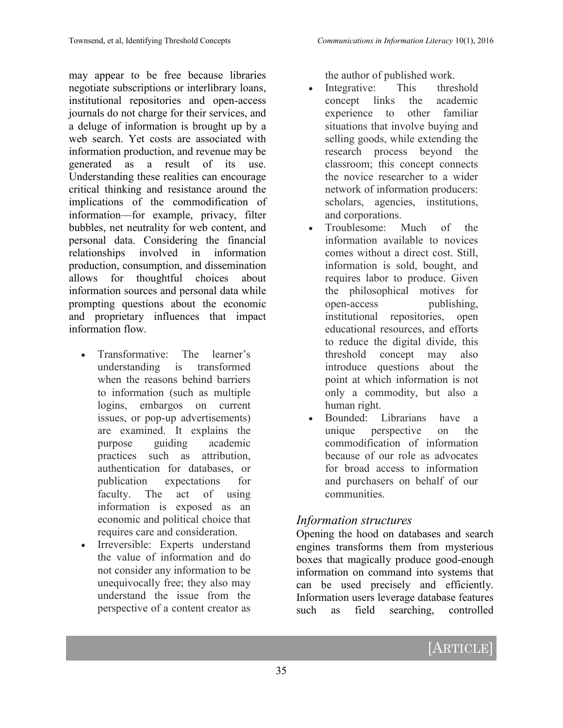may appear to be free because libraries negotiate subscriptions or interlibrary loans, institutional repositories and open-access journals do not charge for their services, and a deluge of information is brought up by a web search. Yet costs are associated with information production, and revenue may be generated as a result of its use. Understanding these realities can encourage critical thinking and resistance around the implications of the commodification of information—for example, privacy, filter bubbles, net neutrality for web content, and personal data. Considering the financial relationships involved in information production, consumption, and dissemination allows for thoughtful choices about information sources and personal data while prompting questions about the economic and proprietary influences that impact information flow.

- Transformative: The learner's understanding is transformed when the reasons behind barriers to information (such as multiple logins, embargos on current issues, or pop-up advertisements) are examined. It explains the purpose guiding academic practices such as attribution, authentication for databases, or publication expectations for faculty. The act of using information is exposed as an economic and political choice that requires care and consideration.
- Irreversible: Experts understand the value of information and do not consider any information to be unequivocally free; they also may understand the issue from the perspective of a content creator as

the author of published work.

- Integrative: This threshold concept links the academic experience to other familiar situations that involve buying and selling goods, while extending the research process beyond the classroom; this concept connects the novice researcher to a wider network of information producers: scholars, agencies, institutions, and corporations.
- Troublesome: Much of the information available to novices comes without a direct cost. Still, information is sold, bought, and requires labor to produce. Given the philosophical motives for open-access publishing, institutional repositories, open educational resources, and efforts to reduce the digital divide, this threshold concept may also introduce questions about the point at which information is not only a commodity, but also a human right.
- Bounded: Librarians have a unique perspective on the commodification of information because of our role as advocates for broad access to information and purchasers on behalf of our communities.

#### *Information structures*

Opening the hood on databases and search engines transforms them from mysterious boxes that magically produce good-enough information on command into systems that can be used precisely and efficiently. Information users leverage database features such as field searching, controlled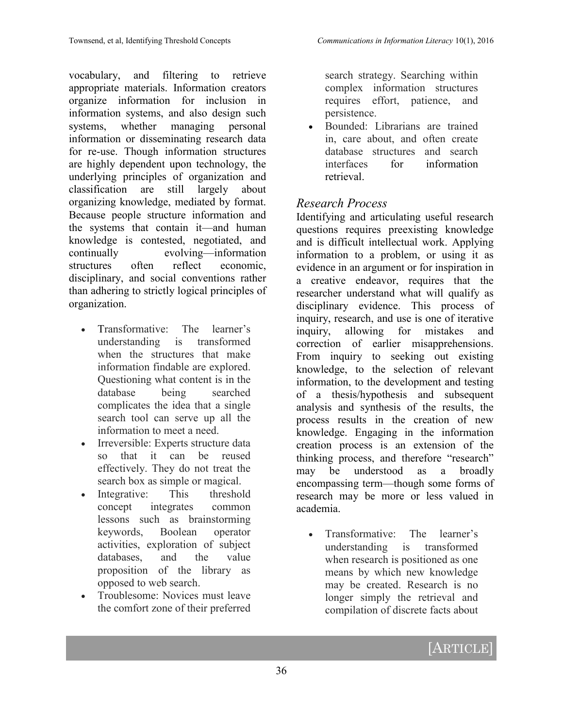vocabulary, and filtering to retrieve appropriate materials. Information creators organize information for inclusion in information systems, and also design such systems, whether managing personal information or disseminating research data for re-use. Though information structures are highly dependent upon technology, the underlying principles of organization and classification are still largely about organizing knowledge, mediated by format. Because people structure information and the systems that contain it—and human knowledge is contested, negotiated, and continually evolving—information structures often reflect economic, disciplinary, and social conventions rather than adhering to strictly logical principles of organization.

- Transformative: The learner's understanding is transformed when the structures that make information findable are explored. Questioning what content is in the database being searched complicates the idea that a single search tool can serve up all the information to meet a need.
- Irreversible: Experts structure data so that it can be reused effectively. They do not treat the search box as simple or magical.
- Integrative: This threshold concept integrates common lessons such as brainstorming keywords, Boolean operator activities, exploration of subject databases, and the value proposition of the library as opposed to web search.
- Troublesome: Novices must leave the comfort zone of their preferred

search strategy. Searching within complex information structures requires effort, patience, and persistence.

• Bounded: Librarians are trained in, care about, and often create database structures and search interfaces for information retrieval.

#### *Research Process*

Identifying and articulating useful research questions requires preexisting knowledge and is difficult intellectual work. Applying information to a problem, or using it as evidence in an argument or for inspiration in a creative endeavor, requires that the researcher understand what will qualify as disciplinary evidence. This process of inquiry, research, and use is one of iterative inquiry, allowing for mistakes and correction of earlier misapprehensions. From inquiry to seeking out existing knowledge, to the selection of relevant information, to the development and testing of a thesis/hypothesis and subsequent analysis and synthesis of the results, the process results in the creation of new knowledge. Engaging in the information creation process is an extension of the thinking process, and therefore "research" may be understood as a broadly encompassing term—though some forms of research may be more or less valued in academia.

 Transformative: The learner's understanding is transformed when research is positioned as one means by which new knowledge may be created. Research is no longer simply the retrieval and compilation of discrete facts about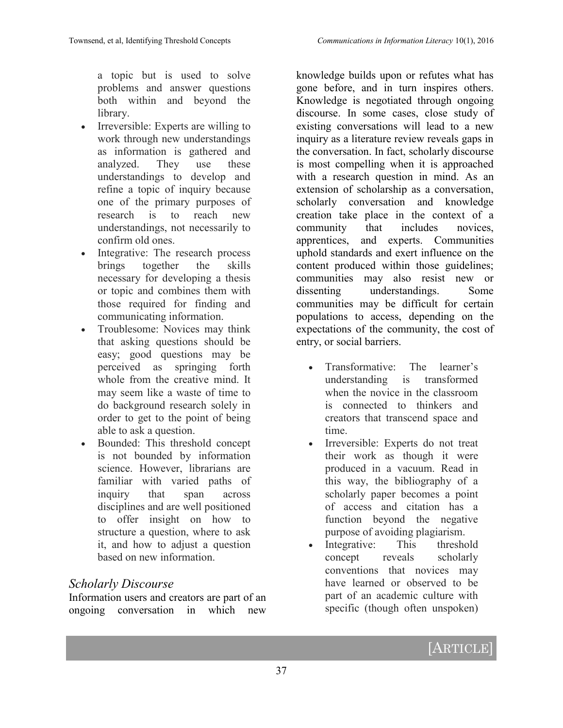a topic but is used to solve problems and answer questions both within and beyond the library.

- Irreversible: Experts are willing to work through new understandings as information is gathered and analyzed. They use these understandings to develop and refine a topic of inquiry because one of the primary purposes of research is to reach new understandings, not necessarily to confirm old ones.
- Integrative: The research process brings together the skills necessary for developing a thesis or topic and combines them with those required for finding and communicating information.
- Troublesome: Novices may think that asking questions should be easy; good questions may be perceived as springing forth whole from the creative mind. It may seem like a waste of time to do background research solely in order to get to the point of being able to ask a question.
- Bounded: This threshold concept is not bounded by information science. However, librarians are familiar with varied paths of inquiry that span across disciplines and are well positioned to offer insight on how to structure a question, where to ask it, and how to adjust a question based on new information.

## *Scholarly Discourse*

Information users and creators are part of an ongoing conversation in which new knowledge builds upon or refutes what has gone before, and in turn inspires others. Knowledge is negotiated through ongoing discourse. In some cases, close study of existing conversations will lead to a new inquiry as a literature review reveals gaps in the conversation. In fact, scholarly discourse is most compelling when it is approached with a research question in mind. As an extension of scholarship as a conversation, scholarly conversation and knowledge creation take place in the context of a community that includes novices, apprentices, and experts. Communities uphold standards and exert influence on the content produced within those guidelines; communities may also resist new or dissenting understandings. Some communities may be difficult for certain populations to access, depending on the expectations of the community, the cost of entry, or social barriers.

- Transformative: The learner's understanding is transformed when the novice in the classroom is connected to thinkers and creators that transcend space and time.
- Irreversible: Experts do not treat their work as though it were produced in a vacuum. Read in this way, the bibliography of a scholarly paper becomes a point of access and citation has a function beyond the negative purpose of avoiding plagiarism.
- Integrative: This threshold concept reveals scholarly conventions that novices may have learned or observed to be part of an academic culture with specific (though often unspoken)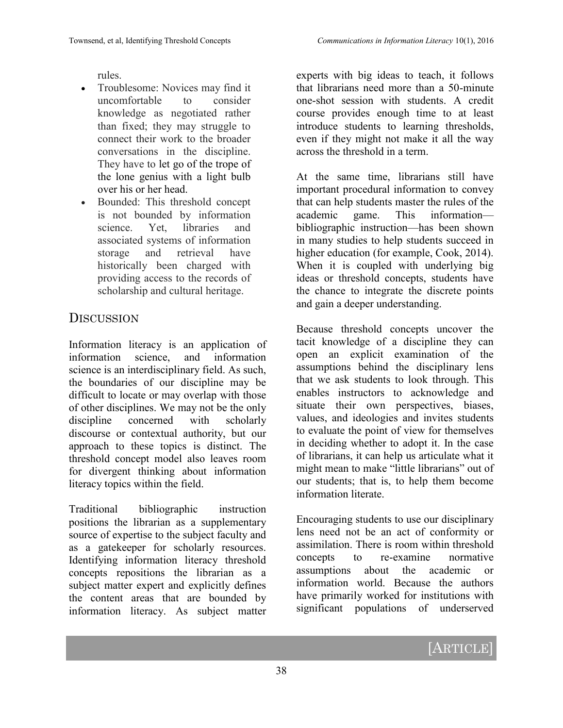rules.

- Troublesome: Novices may find it uncomfortable to consider knowledge as negotiated rather than fixed; they may struggle to connect their work to the broader conversations in the discipline. They have to let go of the trope of the lone genius with a light bulb over his or her head.
- Bounded: This threshold concept is not bounded by information science. Yet, libraries and associated systems of information storage and retrieval have historically been charged with providing access to the records of scholarship and cultural heritage.

# **DISCUSSION**

Information literacy is an application of information science, and information science is an interdisciplinary field. As such, the boundaries of our discipline may be difficult to locate or may overlap with those of other disciplines. We may not be the only discipline concerned with scholarly discourse or contextual authority, but our approach to these topics is distinct. The threshold concept model also leaves room for divergent thinking about information literacy topics within the field.

Traditional bibliographic instruction positions the librarian as a supplementary source of expertise to the subject faculty and as a gatekeeper for scholarly resources. Identifying information literacy threshold concepts repositions the librarian as a subject matter expert and explicitly defines the content areas that are bounded by information literacy. As subject matter experts with big ideas to teach, it follows that librarians need more than a 50-minute one-shot session with students. A credit course provides enough time to at least introduce students to learning thresholds, even if they might not make it all the way across the threshold in a term.

At the same time, librarians still have important procedural information to convey that can help students master the rules of the academic game. This information bibliographic instruction—has been shown in many studies to help students succeed in higher education (for example, Cook, 2014). When it is coupled with underlying big ideas or threshold concepts, students have the chance to integrate the discrete points and gain a deeper understanding.

Because threshold concepts uncover the tacit knowledge of a discipline they can open an explicit examination of the assumptions behind the disciplinary lens that we ask students to look through. This enables instructors to acknowledge and situate their own perspectives, biases, values, and ideologies and invites students to evaluate the point of view for themselves in deciding whether to adopt it. In the case of librarians, it can help us articulate what it might mean to make "little librarians" out of our students; that is, to help them become information literate.

Encouraging students to use our disciplinary lens need not be an act of conformity or assimilation. There is room within threshold concepts to re-examine normative assumptions about the academic or information world. Because the authors have primarily worked for institutions with significant populations of underserved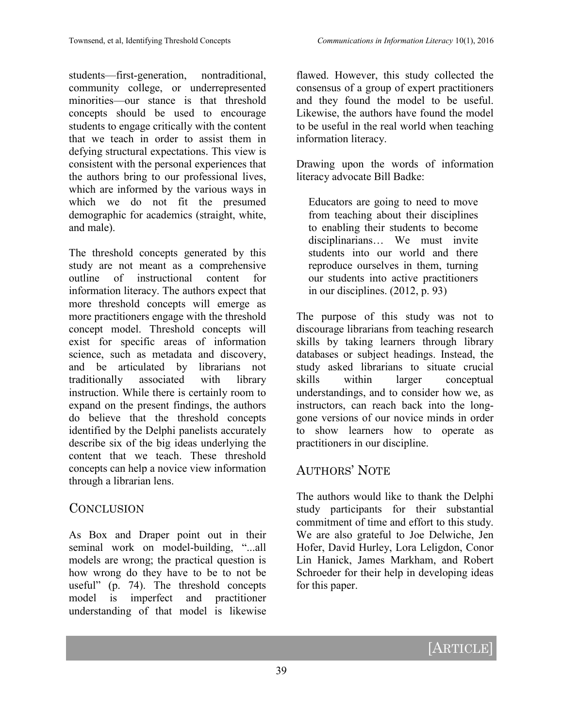students—first-generation, nontraditional, community college, or underrepresented minorities—our stance is that threshold concepts should be used to encourage students to engage critically with the content that we teach in order to assist them in defying structural expectations. This view is consistent with the personal experiences that the authors bring to our professional lives, which are informed by the various ways in which we do not fit the presumed demographic for academics (straight, white, and male).

The threshold concepts generated by this study are not meant as a comprehensive outline of instructional content for information literacy. The authors expect that more threshold concepts will emerge as more practitioners engage with the threshold concept model. Threshold concepts will exist for specific areas of information science, such as metadata and discovery, and be articulated by librarians not traditionally associated with library instruction. While there is certainly room to expand on the present findings, the authors do believe that the threshold concepts identified by the Delphi panelists accurately describe six of the big ideas underlying the content that we teach. These threshold concepts can help a novice view information through a librarian lens.

## **CONCLUSION**

As Box and Draper point out in their seminal work on model-building, "...all models are wrong; the practical question is how wrong do they have to be to not be useful" (p. 74). The threshold concepts model is imperfect and practitioner understanding of that model is likewise

flawed. However, this study collected the consensus of a group of expert practitioners and they found the model to be useful. Likewise, the authors have found the model to be useful in the real world when teaching information literacy.

Drawing upon the words of information literacy advocate Bill Badke:

Educators are going to need to move from teaching about their disciplines to enabling their students to become disciplinarians… We must invite students into our world and there reproduce ourselves in them, turning our students into active practitioners in our disciplines. (2012, p. 93)

The purpose of this study was not to discourage librarians from teaching research skills by taking learners through library databases or subject headings. Instead, the study asked librarians to situate crucial skills within larger conceptual understandings, and to consider how we, as instructors, can reach back into the longgone versions of our novice minds in order to show learners how to operate as practitioners in our discipline.

## AUTHORS' NOTE

The authors would like to thank the Delphi study participants for their substantial commitment of time and effort to this study. We are also grateful to Joe Delwiche, Jen Hofer, David Hurley, Lora Leligdon, Conor Lin Hanick, James Markham, and Robert Schroeder for their help in developing ideas for this paper.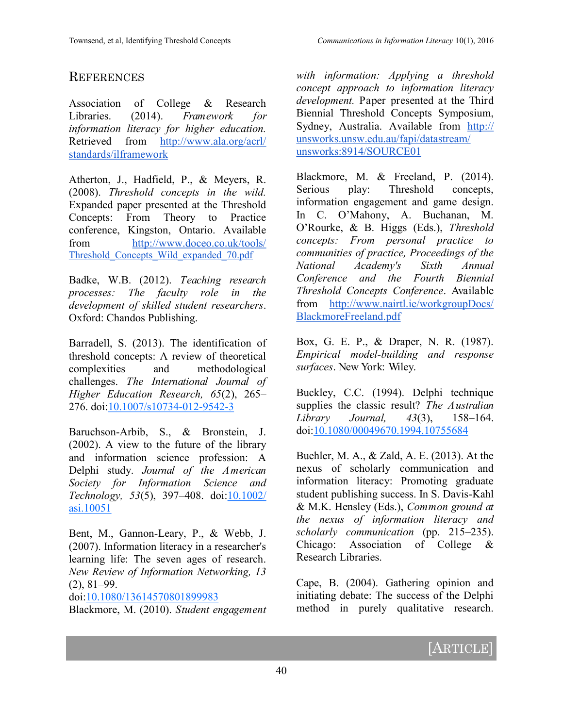## **REFERENCES**

Association of College & Research Libraries. (2014). *Framework for information literacy for higher education.* Retrieved from [http://www.ala.org/acrl/](http://www.ala.org/acrl/standards/ilframework) [standards/ilframework](http://www.ala.org/acrl/standards/ilframework)

Atherton, J., Hadfield, P., & Meyers, R. (2008). *Threshold concepts in the wild.* Expanded paper presented at the Threshold Concepts: From Theory to Practice conference, Kingston, Ontario. Available from [http://www.doceo.co.uk/tools/](http://www.doceo.co.uk/tools/Threshold_Concepts_Wild_expanded_70.pdf) [Threshold\\_Concepts\\_Wild\\_expanded\\_70.pdf](http://www.doceo.co.uk/tools/Threshold_Concepts_Wild_expanded_70.pdf)

Badke, W.B. (2012). *Teaching research processes: The faculty role in the development of skilled student researchers*. Oxford: Chandos Publishing.

Barradell, S. (2013). The identification of threshold concepts: A review of theoretical complexities and methodological challenges. *The International Journal of Higher Education Research, 65*(2), 265– 276. doi:[10.1007/s10734](http://dx.doi.org/10.1007/s10734-012-9542-3)-012-9542-3

Baruchson-Arbib, S., & Bronstein, J. (2002). A view to the future of the library and information science profession: A Delphi study. *Journal of the American Society for Information Science and Technology, 53*(5), 397–408. doi[:10.1002/](http://dx.doi.org/10.1002/asi.10051) [asi.10051](http://dx.doi.org/10.1002/asi.10051)

Bent, M., Gannon-Leary, P., & Webb, J. (2007). Information literacy in a researcher's learning life: The seven ages of research. *New Review of Information Networking, 13* (2), 81–99.

doi:[10.1080/13614570801899983](http://dx.doi.org/10.1080/13614570801899983)

Blackmore, M. (2010). *Student engagement* 

*with information: Applying a threshold concept approach to information literacy development.* Paper presented at the Third Biennial Threshold Concepts Symposium, Sydney, Australia. Available from [http://](http://unsworks.unsw.edu.au/fapi/datastream/unsworks:8914/SOURCE01) [unsworks.unsw.edu.au/fapi/datastream/](http://unsworks.unsw.edu.au/fapi/datastream/unsworks:8914/SOURCE01) [unsworks:8914/SOURCE01](http://unsworks.unsw.edu.au/fapi/datastream/unsworks:8914/SOURCE01)

Blackmore, M. & Freeland, P. (2014). Serious play: Threshold concepts, information engagement and game design. In C. O'Mahony, A. Buchanan, M. O'Rourke, & B. Higgs (Eds.), *Threshold concepts: From personal practice to communities of practice, Proceedings of the National Academy's Sixth Annual Conference and the Fourth Biennial Threshold Concepts Conference*. Available from [http://www.nairtl.ie/workgroupDocs/](http://www.nairtl.ie/workgroupDocs/BlackmoreFreeland.pdf) [BlackmoreFreeland.pdf](http://www.nairtl.ie/workgroupDocs/BlackmoreFreeland.pdf)

Box, G. E. P., & Draper, N. R. (1987). *Empirical model-building and response surfaces*. New York: Wiley.

Buckley, C.C. (1994). Delphi technique supplies the classic result? *The Australian Library Journal, 43*(3), 158–164. doi[:10.1080/00049670.1994.10755684](http://dx.doi.org/10.1080/00049670.1994.10755684)

Buehler, M. A., & Zald, A. E. (2013). At the nexus of scholarly communication and information literacy: Promoting graduate student publishing success. In S. Davis-Kahl & M.K. Hensley (Eds.), *Common ground at the nexus of information literacy and scholarly communication* (pp. 215–235). Chicago: Association of College & Research Libraries.

Cape, B. (2004). Gathering opinion and initiating debate: The success of the Delphi method in purely qualitative research.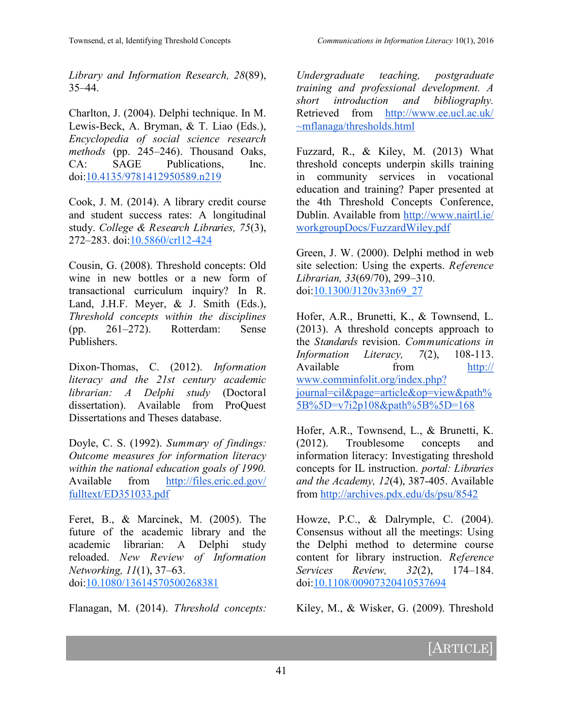*Library and Information Research, 28*(89), 35–44.

Charlton, J. (2004). Delphi technique. In M. Lewis-Beck, A. Bryman, & T. Liao (Eds.), *Encyclopedia of social science research methods* (pp. 245–246). Thousand Oaks, CA: SAGE Publications, Inc. doi:[10.4135/9781412950589.n219](http://dx.doi.org/10.4135/9781412950589.n219)

Cook, J. M. (2014). A library credit course and student success rates: A longitudinal study. *College & Research Libraries, 75*(3), 272–283. doi:[10.5860/crl12](http://dx.doi.org/10.5860/crl12-424)-424

Cousin, G. (2008). Threshold concepts: Old wine in new bottles or a new form of transactional curriculum inquiry? In R. Land, J.H.F. Meyer, & J. Smith (Eds.), *Threshold concepts within the disciplines*  (pp. 261–272). Rotterdam: Sense Publishers.

Dixon-Thomas, C. (2012). *Information literacy and the 21st century academic librarian: A Delphi study* (Doctoral dissertation). Available from ProQuest Dissertations and Theses database.

Doyle, C. S. (1992). *Summary of findings: Outcome measures for information literacy within the national education goals of 1990.*  Available from [http://files.eric.ed.gov/](http://files.eric.ed.gov/fulltext/ED351033.pdf) [fulltext/ED351033.pdf](http://files.eric.ed.gov/fulltext/ED351033.pdf)

Feret, B., & Marcinek, M. (2005). The future of the academic library and the academic librarian: A Delphi study reloaded. *New Review of Information Networking, 11*(1), 37–63. doi:[10.1080/13614570500268381](http://dx.doi.org/10.1080/13614570500268381)

Flanagan, M. (2014). *Threshold concepts:* 

*Undergraduate teaching, postgraduate training and professional development. A short introduction and bibliography.*  Retrieved from [http://www.ee.ucl.ac.uk/](http://www.ee.ucl.ac.uk/~mflanaga/thresholds.html) [~mflanaga/thresholds.html](http://www.ee.ucl.ac.uk/~mflanaga/thresholds.html)

Fuzzard, R., & Kiley, M. (2013) What threshold concepts underpin skills training in community services in vocational education and training? Paper presented at the 4th Threshold Concepts Conference, Dublin. Available from [http://www.nairtl.ie/](http://www.nairtl.ie/workgroupDocs/FuzzardWiley.pdf) [workgroupDocs/FuzzardWiley.pdf](http://www.nairtl.ie/workgroupDocs/FuzzardWiley.pdf)

Green, J. W. (2000). Delphi method in web site selection: Using the experts. *Reference Librarian, 33*(69/70), 299–310. doi[:10.1300/J120v33n69\\_27](http://dx.doi.org/10.1300/J120v33n69_27)

Hofer, A.R., Brunetti, K., & Townsend, L. (2013). A threshold concepts approach to the *Standards* revision. *Communications in Information Literacy, 7*(2), 108-113. Available from [http://](http://www.comminfolit.org/index.php?journal=cil&page=article&op=view&path%5B%5D=v7i2p108&path%5B%5D=168) [www.comminfolit.org/index.php?](http://www.comminfolit.org/index.php?journal=cil&page=article&op=view&path%5B%5D=v7i2p108&path%5B%5D=168) [journal=cil&page=article&op=view&path%](http://www.comminfolit.org/index.php?journal=cil&page=article&op=view&path%5B%5D=v7i2p108&path%5B%5D=168) [5B%5D=v7i2p108&path%5B%5D=168](http://www.comminfolit.org/index.php?journal=cil&page=article&op=view&path%5B%5D=v7i2p108&path%5B%5D=168)

Hofer, A.R., Townsend, L., & Brunetti, K. (2012). Troublesome concepts and information literacy: Investigating threshold concepts for IL instruction. *portal: Libraries and the Academy, 12*(4), 387-405. Available from <http://archives.pdx.edu/ds/psu/8542>

Howze, P.C., & Dalrymple, C. (2004). Consensus without all the meetings: Using the Delphi method to determine course content for library instruction. *Reference Services Review, 32*(2), 174–184. doi[:10.1108/00907320410537694](http://dx.doi.org/10.1108/00907320410537694)

Kiley, M., & Wisker, G. (2009). Threshold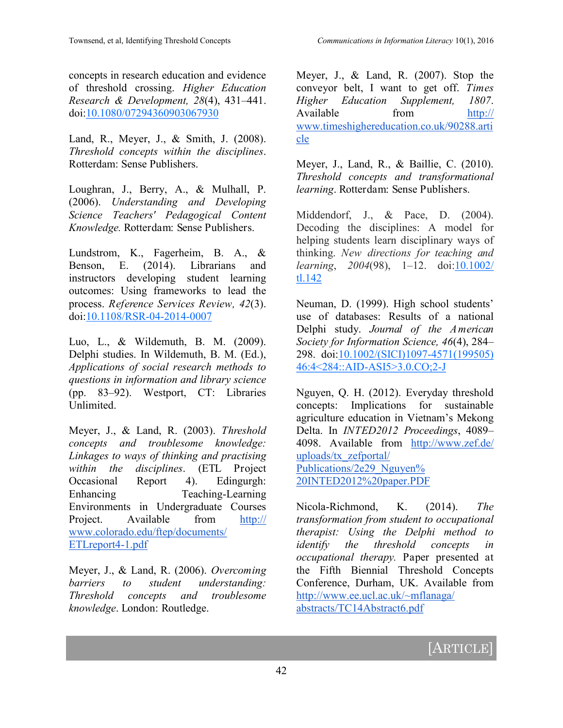concepts in research education and evidence of threshold crossing. *Higher Education Research & Development, 28*(4), 431–441. doi:[10.1080/07294360903067930](http://dx.doi.org/10.1080/07294360903067930)

Land, R., Meyer, J., & Smith, J. (2008). *Threshold concepts within the disciplines*. Rotterdam: Sense Publishers.

Loughran, J., Berry, A., & Mulhall, P. (2006). *Understanding and Developing Science Teachers' Pedagogical Content Knowledge.* Rotterdam: Sense Publishers.

Lundstrom, K., Fagerheim, B. A., & Benson, E. (2014). Librarians and instructors developing student learning outcomes: Using frameworks to lead the process. *Reference Services Review, 42*(3). doi:[10.1108/RSR](http://dx.doi.org/10.1108/RSR-04-2014-0007)-04-2014-0007

Luo, L., & Wildemuth, B. M. (2009). Delphi studies. In Wildemuth, B. M. (Ed.), *Applications of social research methods to questions in information and library science*  (pp. 83–92). Westport, CT: Libraries Unlimited.

Meyer, J., & Land, R. (2003). *Threshold concepts and troublesome knowledge: Linkages to ways of thinking and practising within the disciplines*. (ETL Project Occasional Report 4). Edingurgh: Enhancing Teaching-Learning Environments in Undergraduate Courses Project. Available from [http://](http://www.colorado.edu/ftep/documents/ETLreport4-1.pdf) [www.colorado.edu/ftep/documents/](http://www.colorado.edu/ftep/documents/ETLreport4-1.pdf) [ETLreport4](http://www.colorado.edu/ftep/documents/ETLreport4-1.pdf)-1.pdf

Meyer, J., & Land, R. (2006). *Overcoming barriers to student understanding: Threshold concepts and troublesome knowledge*. London: Routledge.

Meyer, J., & Land, R. (2007). Stop the conveyor belt, I want to get off. *Times Higher Education Supplement, 1807*. Available from [http://](http://www.timeshighereducation.co.uk/90288.article) [www.timeshighereducation.co.uk/90288.arti](http://www.timeshighereducation.co.uk/90288.article) [cle](http://www.timeshighereducation.co.uk/90288.article)

Meyer, J., Land, R., & Baillie, C. (2010). *Threshold concepts and transformational learning*. Rotterdam: Sense Publishers.

Middendorf, J., & Pace, D. (2004). Decoding the disciplines: A model for helping students learn disciplinary ways of thinking. *New directions for teaching and learning*, *2004*(98), 1–12. doi:[10.1002/](http://dx.doi.org/10.1002/tl.142) [tl.142](http://dx.doi.org/10.1002/tl.142)

Neuman, D. (1999). High school students' use of databases: Results of a national Delphi study. *Journal of the American Society for Information Science, 46*(4), 284– 298. doi[:10.1002/\(SICI\)1097](http://dx.doi.org/10.1002/(SICI)1097-4571(199505)46:4%3c284::AID-ASI5%3e3.0.CO;2-J)-4571(199505) 46:4<284::AID-[ASI5>3.0.CO;2](http://dx.doi.org/10.1002/(SICI)1097-4571(199505)46:4%3c284::AID-ASI5%3e3.0.CO;2-J)-J

Nguyen, Q. H. (2012). Everyday threshold concepts: Implications for sustainable agriculture education in Vietnam's Mekong Delta. In *INTED2012 Proceedings*, 4089– 4098. Available from [http://www.zef.de/](http://www.zef.de/uploads/tx_zefportal/Publications/2e29_Nguyen%20INTED2012%20paper.PDF) [uploads/tx\\_zefportal/](http://www.zef.de/uploads/tx_zefportal/Publications/2e29_Nguyen%20INTED2012%20paper.PDF) [Publications/2e29\\_Nguyen%](http://www.zef.de/uploads/tx_zefportal/Publications/2e29_Nguyen%20INTED2012%20paper.PDF) [20INTED2012%20paper.PDF](http://www.zef.de/uploads/tx_zefportal/Publications/2e29_Nguyen%20INTED2012%20paper.PDF)

Nicola-Richmond, K. (2014). *The transformation from student to occupational therapist: Using the Delphi method to identify the threshold concepts in occupational therapy.* Paper presented at the Fifth Biennial Threshold Concepts Conference, Durham, UK. Available from [http://www.ee.ucl.ac.uk/~mflanaga/](http://www.ee.ucl.ac.uk/~mflanaga/abstracts/TC14Abstract6.pdf) [abstracts/TC14Abstract6.pdf](http://www.ee.ucl.ac.uk/~mflanaga/abstracts/TC14Abstract6.pdf)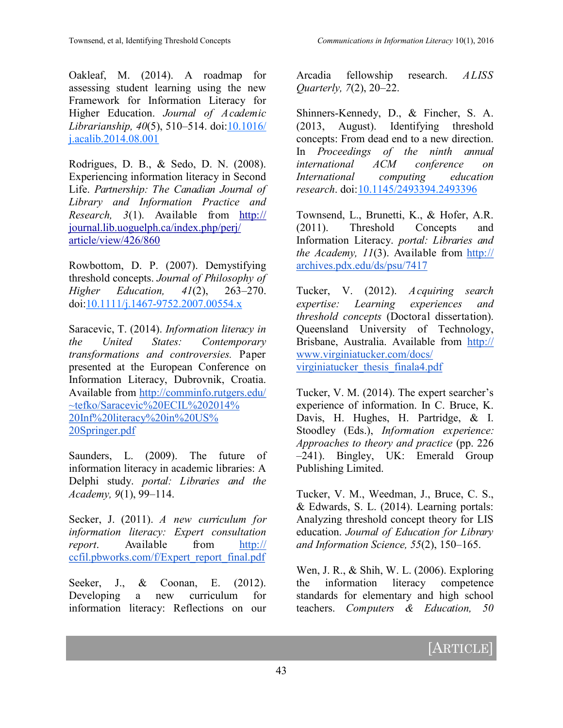Oakleaf, M. (2014). A roadmap for assessing student learning using the new Framework for Information Literacy for Higher Education. *Journal of Academic Librarianship, 40*(5), 510–514. doi[:10.1016/](http://dx.doi.org/10.1016/j.acalib.2014.08.001) [j.acalib.2014.08.001](http://dx.doi.org/10.1016/j.acalib.2014.08.001)

Rodrigues, D. B., & Sedo, D. N. (2008). Experiencing information literacy in Second Life. *Partnership: The Canadian Journal of Library and Information Practice and Research, 3*(1). Available from [http://](http://journal.lib.uoguelph.ca/index.php/perj/article/view/426/860) [journal.lib.uoguelph.ca/index.php/perj/](http://journal.lib.uoguelph.ca/index.php/perj/article/view/426/860) [article/view/426/860](http://journal.lib.uoguelph.ca/index.php/perj/article/view/426/860)

Rowbottom, D. P. (2007). Demystifying threshold concepts. *Journal of Philosophy of Higher Education, 41*(2), 263–270. doi:10.1111/j.1467-[9752.2007.00554.x](http://dx.doi.org/10.1111/j.1467-9752.2007.00554.x)

Saracevic, T. (2014). *Information literacy in the United States: Contemporary transformations and controversies.* Paper presented at the European Conference on Information Literacy, Dubrovnik, Croatia. Available from [http://comminfo.rutgers.edu/](http://comminfo.rutgers.edu/~tefko/Saracevic%20ECIL%202014%20Inf%20literacy%20in%20US%20Springer.pdf) [~tefko/Saracevic%20ECIL%202014%](http://comminfo.rutgers.edu/~tefko/Saracevic%20ECIL%202014%20Inf%20literacy%20in%20US%20Springer.pdf) [20Inf%20literacy%20in%20US%](http://comminfo.rutgers.edu/~tefko/Saracevic%20ECIL%202014%20Inf%20literacy%20in%20US%20Springer.pdf) [20Springer.pdf](http://comminfo.rutgers.edu/~tefko/Saracevic%20ECIL%202014%20Inf%20literacy%20in%20US%20Springer.pdf)

Saunders, L. (2009). The future of information literacy in academic libraries: A Delphi study. *portal: Libraries and the Academy, 9*(1), 99–114.

Secker, J. (2011). *A new curriculum for information literacy: Expert consultation report*. Available from [http://](http://ccfil.pbworks.com/f/Expert_report_final.pdf) [ccfil.pbworks.com/f/Expert\\_report\\_final.pdf](http://ccfil.pbworks.com/f/Expert_report_final.pdf)

Seeker, J., & Coonan, E. (2012). Developing a new curriculum for information literacy: Reflections on our

Arcadia fellowship research. *ALISS Quarterly, 7*(2), 20–22.

Shinners-Kennedy, D., & Fincher, S. A. (2013, August). Identifying threshold concepts: From dead end to a new direction. In *Proceedings of the ninth annual international ACM conference on International computing education research*. doi:[10.1145/2493394.2493396](http://dx.doi.org/10.1145/2493394.2493396)

Townsend, L., Brunetti, K., & Hofer, A.R. (2011). Threshold Concepts and Information Literacy. *portal: Libraries and the Academy, 11*(3). Available from [http://](http://archives.pdx.edu/ds/psu/7417) [archives.pdx.edu/ds/psu/7417](http://archives.pdx.edu/ds/psu/7417)

Tucker, V. (2012). *Acquiring search expertise: Learning experiences and threshold concepts* (Doctoral dissertation). Queensland University of Technology, Brisbane, Australia. Available from [http://](http://www.virginiatucker.com/docs/virginiatucker_thesis_finala4.pdf) [www.virginiatucker.com/docs/](http://www.virginiatucker.com/docs/virginiatucker_thesis_finala4.pdf) [virginiatucker\\_thesis\\_finala4.pdf](http://www.virginiatucker.com/docs/virginiatucker_thesis_finala4.pdf)

Tucker, V. M. (2014). The expert searcher's experience of information. In C. Bruce, K. Davis, H. Hughes, H. Partridge, & I. Stoodley (Eds.), *Information experience: Approaches to theory and practice* (pp. 226 –241). Bingley, UK: Emerald Group Publishing Limited.

Tucker, V. M., Weedman, J., Bruce, C. S., & Edwards, S. L. (2014). Learning portals: Analyzing threshold concept theory for LIS education. *Journal of Education for Library and Information Science, 55*(2), 150–165.

Wen, J. R., & Shih, W. L. (2006). Exploring the information literacy competence standards for elementary and high school teachers. *Computers & Education, 50*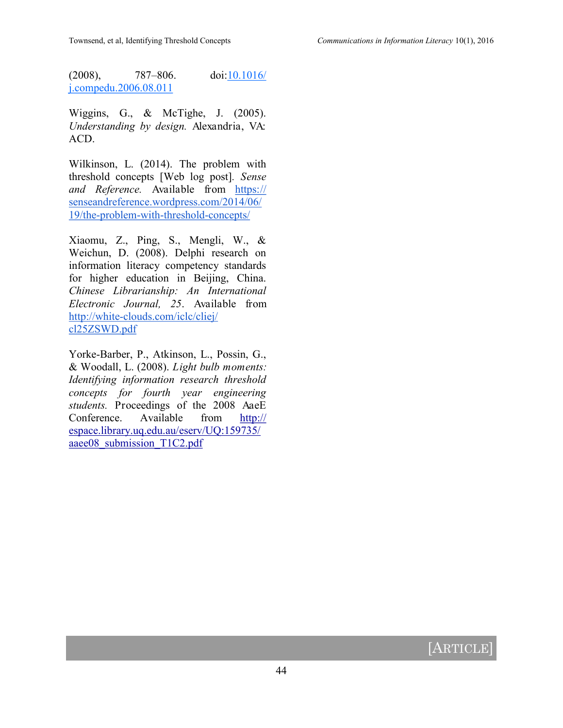(2008), 787–806. doi[:10.1016/](http://dx.doi.org/10.1016/j.compedu.2006.08.011) [j.compedu.2006.08.011](http://dx.doi.org/10.1016/j.compedu.2006.08.011)

Wiggins, G., & McTighe, J. (2005). *Understanding by design.* Alexandria, VA: ACD.

Wilkinson, L. (2014). The problem with threshold concepts [Web log post]*. Sense and Reference.* Available from [https://](https://senseandreference.wordpress.com/2014/06/19/the-problem-with-threshold-concepts/) [senseandreference.wordpress.com/2014/06/](https://senseandreference.wordpress.com/2014/06/19/the-problem-with-threshold-concepts/) 19/the-problem-with-threshold-[concepts/](https://senseandreference.wordpress.com/2014/06/19/the-problem-with-threshold-concepts/)

Xiaomu, Z., Ping, S., Mengli, W., & Weichun, D. (2008). Delphi research on information literacy competency standards for higher education in Beijing, China. *Chinese Librarianship: An International Electronic Journal, 25*. Available from http://white-[clouds.com/iclc/cliej/](http://white-clouds.com/iclc/cliej/cl25ZSWD.pdf) [cl25ZSWD.pdf](http://white-clouds.com/iclc/cliej/cl25ZSWD.pdf)

Yorke-Barber, P., Atkinson, L., Possin, G., & Woodall, L. (2008). *Light bulb moments: Identifying information research threshold concepts for fourth year engineering students.* Proceedings of the 2008 AaeE Conference. Available from [http://](http://espace.library.uq.edu.au/eserv/UQ:159735/aaee08_submission_T1C2.pdf) [espace.library.uq.edu.au/eserv/UQ:159735/](http://espace.library.uq.edu.au/eserv/UQ:159735/aaee08_submission_T1C2.pdf) aaee08 submission T1C2.pdf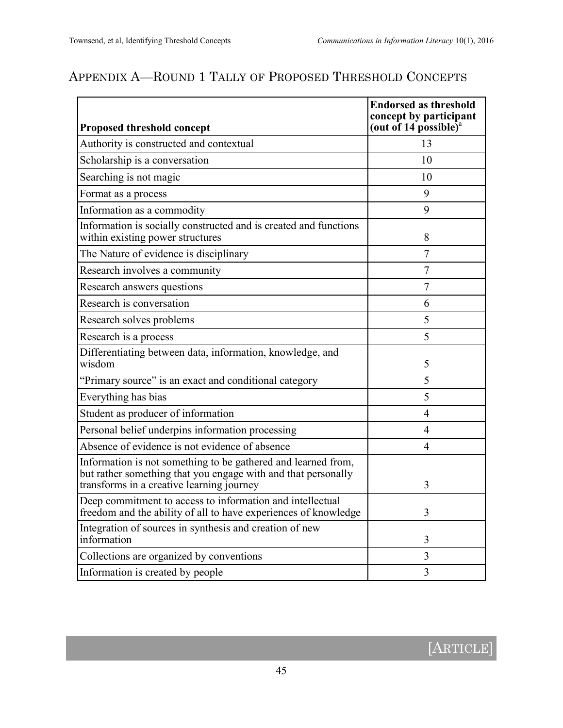# APPENDIX A—ROUND 1 TALLY OF PROPOSED THRESHOLD CONCEPTS

| Proposed threshold concept                                                                                                                                                  | <b>Endorsed as threshold</b><br>concept by participant<br>(out of 14 possible) <sup>a</sup> |
|-----------------------------------------------------------------------------------------------------------------------------------------------------------------------------|---------------------------------------------------------------------------------------------|
| Authority is constructed and contextual                                                                                                                                     | 13                                                                                          |
| Scholarship is a conversation                                                                                                                                               | 10                                                                                          |
| Searching is not magic                                                                                                                                                      | 10                                                                                          |
| Format as a process                                                                                                                                                         | 9                                                                                           |
| Information as a commodity                                                                                                                                                  | 9                                                                                           |
| Information is socially constructed and is created and functions<br>within existing power structures                                                                        | 8                                                                                           |
| The Nature of evidence is disciplinary                                                                                                                                      | $\overline{7}$                                                                              |
| Research involves a community                                                                                                                                               | $\overline{7}$                                                                              |
| Research answers questions                                                                                                                                                  | 7                                                                                           |
| Research is conversation                                                                                                                                                    | 6                                                                                           |
| Research solves problems                                                                                                                                                    | 5                                                                                           |
| Research is a process                                                                                                                                                       | 5                                                                                           |
| Differentiating between data, information, knowledge, and<br>wisdom                                                                                                         | 5                                                                                           |
| "Primary source" is an exact and conditional category                                                                                                                       | 5                                                                                           |
| Everything has bias                                                                                                                                                         | 5                                                                                           |
| Student as producer of information                                                                                                                                          | $\overline{4}$                                                                              |
| Personal belief underpins information processing                                                                                                                            | 4                                                                                           |
| Absence of evidence is not evidence of absence                                                                                                                              | $\overline{4}$                                                                              |
| Information is not something to be gathered and learned from,<br>but rather something that you engage with and that personally<br>transforms in a creative learning journey | 3                                                                                           |
| Deep commitment to access to information and intellectual<br>freedom and the ability of all to have experiences of knowledge                                                | 3                                                                                           |
| Integration of sources in synthesis and creation of new<br>information                                                                                                      | 3                                                                                           |
| Collections are organized by conventions                                                                                                                                    | 3                                                                                           |
| Information is created by people                                                                                                                                            | 3                                                                                           |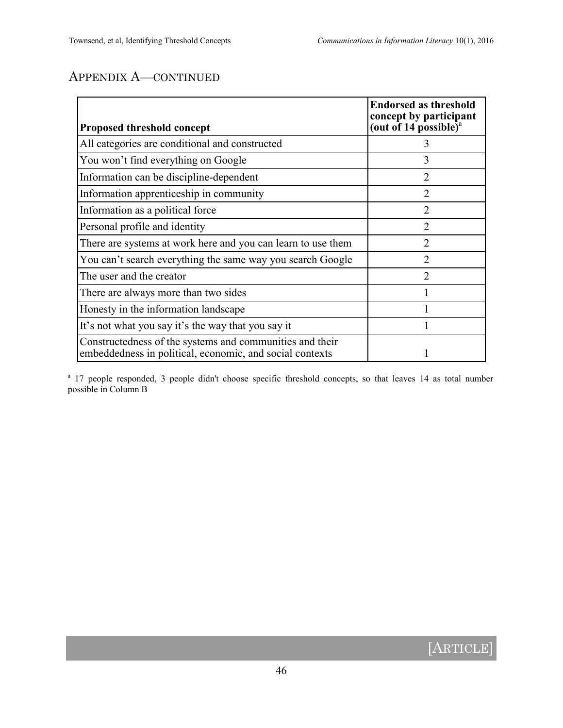# APPENDIX A—CONTINUED

| Proposed threshold concept                                                                                           | <b>Endorsed as threshold</b><br>concept by participant<br>(out of 14 possible) $^{\rm a}$ |
|----------------------------------------------------------------------------------------------------------------------|-------------------------------------------------------------------------------------------|
| All categories are conditional and constructed                                                                       |                                                                                           |
| You won't find everything on Google                                                                                  | 3                                                                                         |
| Information can be discipline-dependent                                                                              | $\overline{2}$                                                                            |
| Information apprenticeship in community                                                                              | $\overline{2}$                                                                            |
| Information as a political force                                                                                     | $\overline{2}$                                                                            |
| Personal profile and identity                                                                                        | $\overline{2}$                                                                            |
| There are systems at work here and you can learn to use them                                                         | $\overline{2}$                                                                            |
| You can't search everything the same way you search Google                                                           | $\overline{2}$                                                                            |
| The user and the creator                                                                                             | $\mathcal{D}_{\mathcal{L}}$                                                               |
| There are always more than two sides                                                                                 |                                                                                           |
| Honesty in the information landscape                                                                                 |                                                                                           |
| It's not what you say it's the way that you say it                                                                   |                                                                                           |
| Constructedness of the systems and communities and their<br>embeddedness in political, economic, and social contexts |                                                                                           |

<sup>a</sup> 17 people responded, 3 people didn't choose specific threshold concepts, so that leaves 14 as total number possible in Column B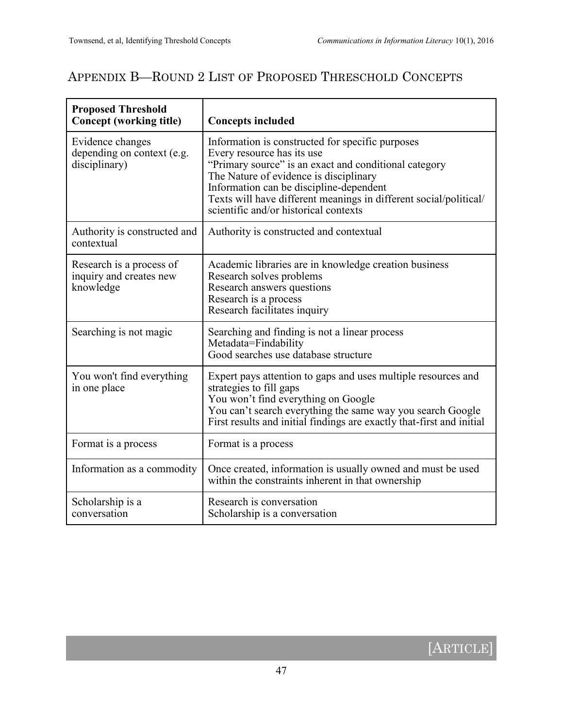# APPENDIX B—ROUND 2 LIST OF PROPOSED THRESCHOLD CONCEPTS

| <b>Proposed Threshold</b><br><b>Concept (working title)</b>      | <b>Concepts included</b>                                                                                                                                                                                                                                                                                                                   |
|------------------------------------------------------------------|--------------------------------------------------------------------------------------------------------------------------------------------------------------------------------------------------------------------------------------------------------------------------------------------------------------------------------------------|
| Evidence changes<br>depending on context (e.g.<br>disciplinary)  | Information is constructed for specific purposes<br>Every resource has its use<br>"Primary source" is an exact and conditional category<br>The Nature of evidence is disciplinary<br>Information can be discipline-dependent<br>Texts will have different meanings in different social/political/<br>scientific and/or historical contexts |
| Authority is constructed and<br>contextual                       | Authority is constructed and contextual                                                                                                                                                                                                                                                                                                    |
| Research is a process of<br>inquiry and creates new<br>knowledge | Academic libraries are in knowledge creation business<br>Research solves problems<br>Research answers questions<br>Research is a process<br>Research facilitates inquiry                                                                                                                                                                   |
| Searching is not magic                                           | Searching and finding is not a linear process<br>Metadata=Findability<br>Good searches use database structure                                                                                                                                                                                                                              |
| You won't find everything<br>in one place                        | Expert pays attention to gaps and uses multiple resources and<br>strategies to fill gaps<br>You won't find everything on Google<br>You can't search everything the same way you search Google<br>First results and initial findings are exactly that-first and initial                                                                     |
| Format is a process                                              | Format is a process                                                                                                                                                                                                                                                                                                                        |
| Information as a commodity                                       | Once created, information is usually owned and must be used<br>within the constraints inherent in that ownership                                                                                                                                                                                                                           |
| Scholarship is a<br>conversation                                 | Research is conversation<br>Scholarship is a conversation                                                                                                                                                                                                                                                                                  |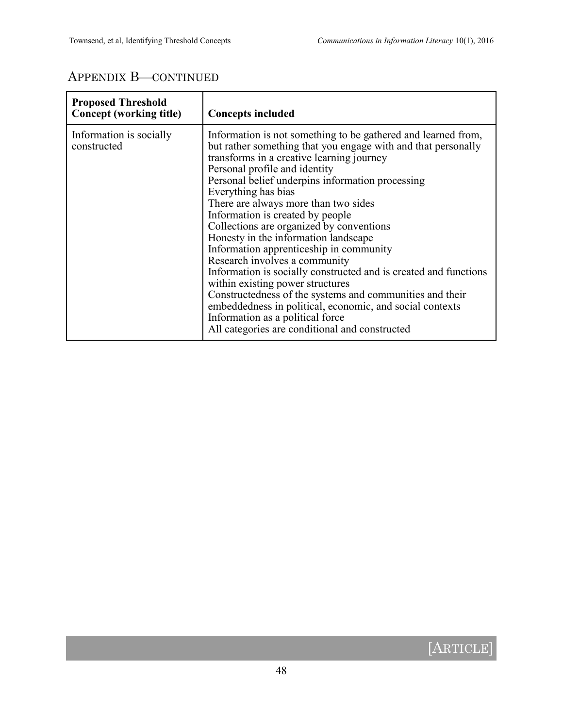# APPENDIX B—CONTINUED

| <b>Proposed Threshold</b><br>Concept (working title) | <b>Concepts included</b>                                                                                                                                                                                                                                                                                                                                                                                                                                                                                                                                                                                                                                                                                                                                                                                                                                  |
|------------------------------------------------------|-----------------------------------------------------------------------------------------------------------------------------------------------------------------------------------------------------------------------------------------------------------------------------------------------------------------------------------------------------------------------------------------------------------------------------------------------------------------------------------------------------------------------------------------------------------------------------------------------------------------------------------------------------------------------------------------------------------------------------------------------------------------------------------------------------------------------------------------------------------|
| Information is socially<br>constructed               | Information is not something to be gathered and learned from,<br>but rather something that you engage with and that personally<br>transforms in a creative learning journey<br>Personal profile and identity<br>Personal belief underpins information processing<br>Everything has bias<br>There are always more than two sides<br>Information is created by people<br>Collections are organized by conventions<br>Honesty in the information landscape<br>Information apprenticeship in community<br>Research involves a community<br>Information is socially constructed and is created and functions<br>within existing power structures<br>Constructedness of the systems and communities and their<br>embeddedness in political, economic, and social contexts<br>Information as a political force<br>All categories are conditional and constructed |